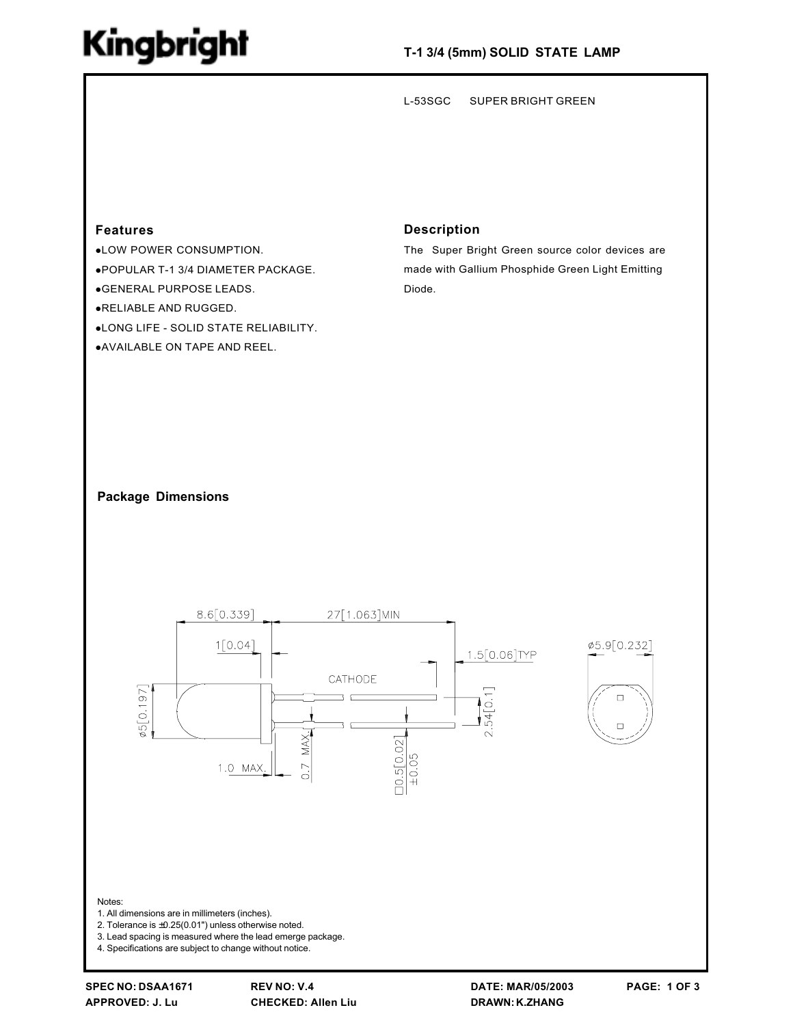## **Kingbright**

 $L-53SGC$ **SUPER BRIGHT GREEN** 

### **Features**

.LOW POWER CONSUMPTION. .POPULAR T-1 3/4 DIAMETER PACKAGE. ● GENERAL PURPOSE LEADS. .RELIABLE AND RUGGED.

.LONG LIFE - SOLID STATE RELIABILITY.

.AVAILABLE ON TAPE AND REEL.

### **Description**

The Super Bright Green source color devices are made with Gallium Phosphide Green Light Emitting Diode.

#### **Package Dimensions**



**REV NO: V.4 CHECKED: Allen Liu**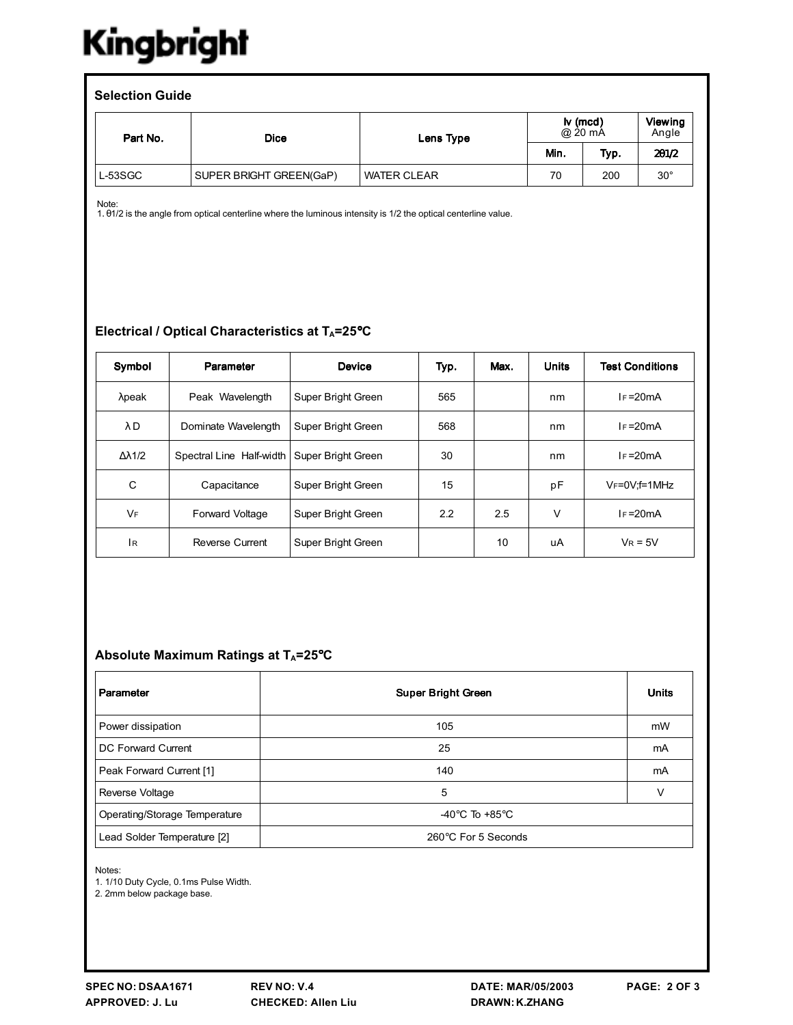# Kingbright

| <b>Selection Guide</b> |                         |                    |                                          |      |                  |  |  |  |  |
|------------------------|-------------------------|--------------------|------------------------------------------|------|------------------|--|--|--|--|
| Part No.               | <b>Dice</b>             | Lens Type          | $\mathsf{I} \mathsf{v}$ (mcd)<br>@ 20 mA |      | Viewing<br>Angle |  |  |  |  |
|                        |                         |                    | Min.                                     | Typ. | 201/2            |  |  |  |  |
| $L-53SGC$              | SUPER BRIGHT GREEN(GaP) | <b>WATER CLEAR</b> | 70                                       | 200  | $30^{\circ}$     |  |  |  |  |

Note:

1. 01/2 is the angle from optical centerline where the luminous intensity is 1/2 the optical centerline value.

### Electrical / Optical Characteristics at TA=25°C

| Symbol               | Parameter                | <b>Device</b>      | Typ. | Max. | <b>Units</b> | <b>Test Conditions</b>  |
|----------------------|--------------------------|--------------------|------|------|--------------|-------------------------|
| $λ$ peak             | Peak Wavelength          | Super Bright Green | 565  |      | nm           | $I_F = 20mA$            |
| $\lambda$ D          | Dominate Wavelength      | Super Bright Green | 568  |      | nm           | $I_F = 20mA$            |
| $\Delta \lambda$ 1/2 | Spectral Line Half-width | Super Bright Green | 30   |      | nm           | $I_F = 20mA$            |
| C                    | Capacitance              | Super Bright Green | 15   |      | pF           | $V_F = 0V$ : $f = 1MHz$ |
| <b>VF</b>            | Forward Voltage          | Super Bright Green | 2.2  | 2.5  | V            | $I_F = 20mA$            |
| İв.                  | Reverse Current          | Super Bright Green |      | 10   | uA           | $V_R = 5V$              |

### Absolute Maximum Ratings at T<sub>A</sub>=25°C

| Parameter                     | <b>Super Bright Green</b>            | <b>Units</b> |
|-------------------------------|--------------------------------------|--------------|
| Power dissipation             | 105                                  | mW           |
| DC Forward Current            | 25                                   | mA           |
| Peak Forward Current [1]      | 140                                  | mA           |
| Reverse Voltage               | 5                                    | v            |
| Operating/Storage Temperature | -40 $^{\circ}$ C To +85 $^{\circ}$ C |              |
| Lead Solder Temperature [2]   | 260°C For 5 Seconds                  |              |

Notes:

1. 1/10 Duty Cycle, 0.1ms Pulse Width.

2. 2mm below package base.